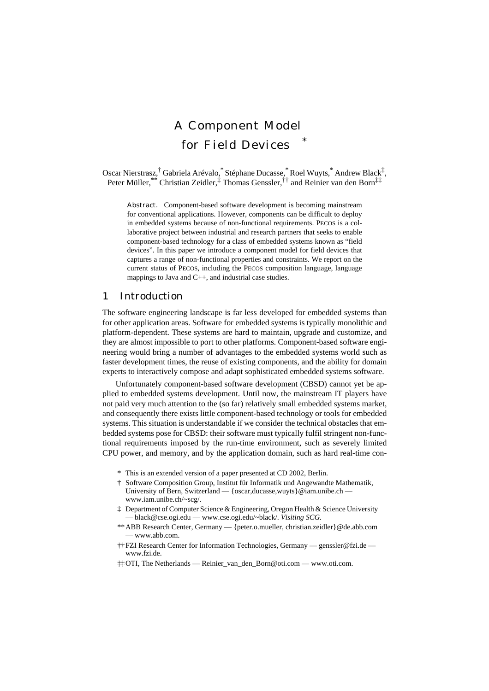Oscar Nierstrasz,<sup>†</sup> Gabriela Arévalo,<sup>\*</sup> Stéphane Ducasse,<sup>\*</sup> Roel Wuyts,<sup>\*</sup> Andrew Black<sup>‡</sup>, Peter Müller,\*\* Christian Zeidler,‡ Thomas Genssler,†† and Reinier van den Born‡‡

Abstract. Component-based software development is becoming mainstream for conventional applications. However, components can be difficult to deploy in embedded systems because of non-functional requirements. PECOS is a collaborative project between industrial and research partners that seeks to enable component-based technology for a class of embedded systems known as "field devices". In this paper we introduce a component model for field devices that captures a range of non-functional properties and constraints. We report on the current status of PECOS, including the PECOS composition language, language mappings to Java and C++, and industrial case studies.

# 1 Introduction

The software engineering landscape is far less developed for embedded systems than for other application areas. Software for embedded systems is typically monolithic and platform-dependent. These systems are hard to maintain, upgrade and customize, and they are almost impossible to port to other platforms. Component-based software engineering would bring a number of advantages to the embedded systems world such as faster development times, the reuse of existing components, and the ability for domain experts to interactively compose and adapt sophisticated embedded systems software.

Unfortunately component-based software development (CBSD) cannot yet be applied to embedded systems development. Until now, the mainstream IT players have not paid very much attention to the (so far) relatively small embedded systems market, and consequently there exists little component-based technology or tools for embedded systems. This situation is understandable if we consider the technical obstacles that embedded systems pose for CBSD: their software must typically fulfil stringent non-functional requirements imposed by the run-time environment, such as severely limited CPU power, and memory, and by the application domain, such as hard real-time con-

<sup>\*</sup> This is an extended version of a paper presented at CD 2002, Berlin.

<sup>†</sup> Software Composition Group, Institut für Informatik und Angewandte Mathematik, University of Bern, Switzerland — {oscar,ducasse,wuyts}@iam.unibe.ch [www.iam.unibe.ch/~scg/.](http://www.iam.unibe.ch/%7escg/)

<sup>‡</sup> Department of Computer Science & Engineering, Oregon Health & Science University — black@cse.ogi.edu — [www.cse.ogi.edu/~black/](http://www.cse.ogi.edu/%7eblack/). *Visiting SCG.*

<sup>\*\*</sup>ABB Research Center, Germany — {peter.o.mueller, christian.zeidler}@de.abb.com — [www.abb.com](http://www.abb.com).

<sup>††</sup>FZI Research Center for Information Technologies, Germany — genssler@fzi.de [www.fzi.de.](http://www.fzi.de/)

<sup>‡‡</sup>OTI, The Netherlands — Reinier\_van\_den\_Born@oti.com — [www.oti.com](http://www.oti.com/).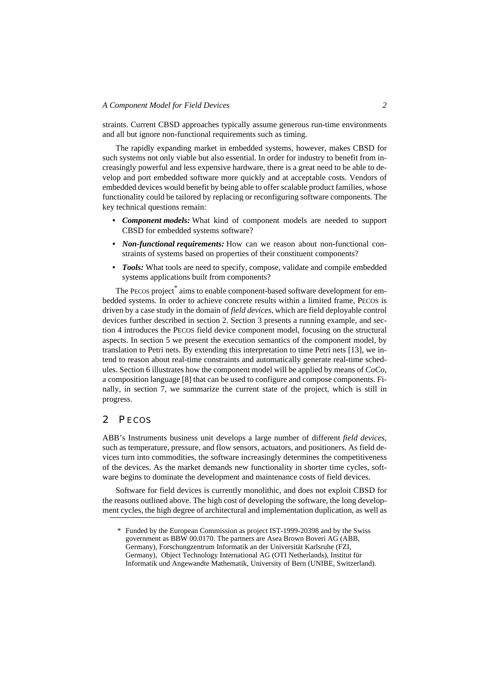straints. Current CBSD approaches typically assume generous run-time environments and all but ignore non-functional requirements such as timing.

The rapidly expanding market in embedded systems, however, makes CBSD for such systems not only viable but also essential. In order for industry to benefit from increasingly powerful and less expensive hardware, there is a great need to be able to develop and port embedded software more quickly and at acceptable costs. Vendors of embedded devices would benefit by being able to offer scalable product families, whose functionality could be tailored by replacing or reconfiguring software components. The key technical questions remain:

- *Component models:* What kind of component models are needed to support CBSD for embedded systems software?
- *Non-functional requirements:* How can we reason about non-functional constraints of systems based on properties of their constituent components?
- *Tools:* What tools are need to specify, compose, validate and compile embedded systems applications built from components?

The PECOS project<sup>\*</sup> aims to enable component-based software development for embedded systems. In order to achieve concrete results within a limited frame, PECOS is driven by a case study in the domain of *field devices*, which are field deployable control devices further described in [section 2](#page-1-0). [Section 3](#page-4-0) presents a running example, and [sec](#page-5-0)[tion 4](#page-5-0) introduces the PECOS field device component model, focusing on the structural aspects. In [section 5](#page-8-0) we present the execution semantics of the component model, by translation to Petri nets. By extending this interpretation to time Petri nets [\[13\]](#page-15-0), we intend to reason about real-time constraints and automatically generate real-time schedules. [Section 6](#page-12-0) illustrates how the component model will be applied by means of *CoCo*, a composition language [\[8\]](#page-15-1) that can be used to configure and compose components. Finally, in [section 7](#page-14-0), we summarize the current state of the project, which is still in progress.

## <span id="page-1-0"></span>2 PECOS

ABB's Instruments business unit develops a large number of different *field devices*, such as temperature, pressure, and flow sensors, actuators, and positioners. As field devices turn into commodities, the software increasingly determines the competitiveness of the devices. As the market demands new functionality in shorter time cycles, software begins to dominate the development and maintenance costs of field devices.

Software for field devices is currently monolithic, and does not exploit CBSD for the reasons outlined above. The high cost of developing the software, the long development cycles, the high degree of architectural and implementation duplication, as well as

<sup>\*</sup> Funded by the European Commission as project IST-1999-20398 and by the Swiss government as BBW 00.0170. The partners are Asea Brown Boveri AG (ABB, Germany), Forschungzentrum Informatik an der Universität Karlsruhe (FZI, Germany), Object Technology International AG (OTI Netherlands), Institut für Informatik und Angewandte Mathematik, University of Bern (UNIBE, Switzerland).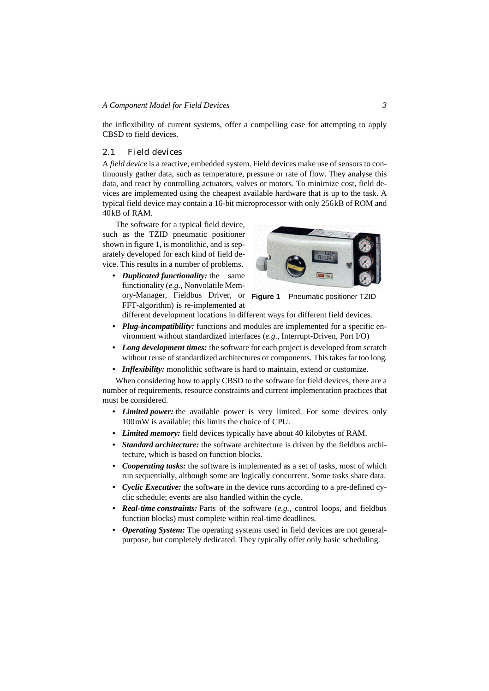the inflexibility of current systems, offer a compelling case for attempting to apply CBSD to field devices.

#### 2.1 Field devices

A *field device* is a reactive, embedded system. Field devices make use of sensors to continuously gather data, such as temperature, pressure or rate of flow. They analyse this data, and react by controlling actuators, valves or motors. To minimize cost, field devices are implemented using the cheapest available hardware that is up to the task. A typical field device may contain a 16-bit microprocessor with only 256kB of ROM and 40kB of RAM.

The software for a typical field device, such as the TZID pneumatic positioner shown in [figure 1](#page-2-0), is monolithic, and is separately developed for each kind of field device. This results in a number of problems.

*• Duplicated functionality:* the same functionality (*e.g.*, Nonvolatile Memory-Manager, Fieldbus Driver, or Figure 1 FFT-algorithm) is re-implemented at

<span id="page-2-0"></span>

**Figure 1** Pneumatic positioner TZID

- different development locations in different ways for different field devices. *• Plug-incompatibility:* functions and modules are implemented for a specific environment without standardized interfaces (*e.g.*, Interrupt-Driven, Port I/O)
- *Long development times:* the software for each project is developed from scratch without reuse of standardized architectures or components. This takes far too long.
- *Inflexibility:* monolithic software is hard to maintain, extend or customize.

When considering how to apply CBSD to the software for field devices, there are a number of requirements, resource constraints and current implementation practices that must be considered.

- *Limited power:* the available power is very limited. For some devices only 100mW is available; this limits the choice of CPU.
- *Limited memory:* field devices typically have about 40 kilobytes of RAM.
- *Standard architecture:* the software architecture is driven by the fieldbus architecture, which is based on function blocks.
- *Cooperating tasks:* the software is implemented as a set of tasks, most of which run sequentially, although some are logically concurrent. Some tasks share data.
- *Cyclic Executive:* the software in the device runs according to a pre-defined cyclic schedule; events are also handled within the cycle.
- *Real-time constraints:* Parts of the software (*e.g.*, control loops, and fieldbus function blocks) must complete within real-time deadlines.
- *Operating System:* The operating systems used in field devices are not generalpurpose, but completely dedicated. They typically offer only basic scheduling.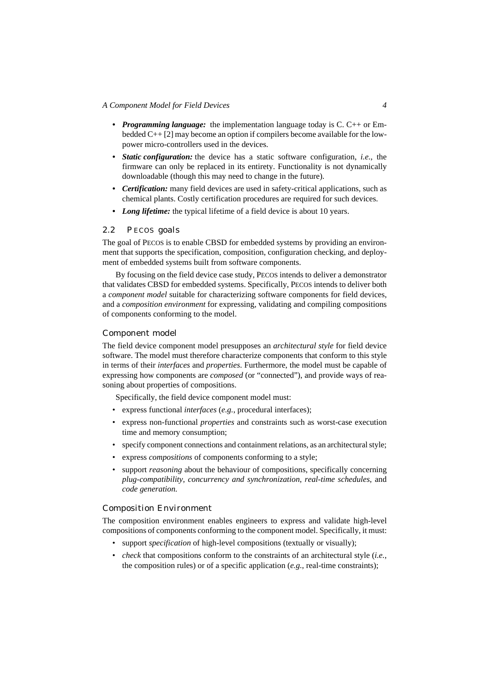- *Programming language:* the implementation language today is C. C++ or Embedded C++ [\[2\]](#page-14-1) may become an option if compilers become available for the lowpower micro-controllers used in the devices.
- *Static configuration:* the device has a static software configuration, *i.e.*, the firmware can only be replaced in its entirety. Functionality is not dynamically downloadable (though this may need to change in the future).
- *Certification:* many field devices are used in safety-critical applications, such as chemical plants. Costly certification procedures are required for such devices.
- *Long lifetime:* the typical lifetime of a field device is about 10 years.

# 2.2 PECOS goals

The goal of PECOS is to enable CBSD for embedded systems by providing an environment that supports the specification, composition, configuration checking, and deployment of embedded systems built from software components.

By focusing on the field device case study, PECOS intends to deliver a demonstrator that validates CBSD for embedded systems. Specifically, PECOS intends to deliver both a *component model* suitable for characterizing software components for field devices, and a *composition environment* for expressing, validating and compiling compositions of components conforming to the model.

#### Component model

The field device component model presupposes an *architectural style* for field device software. The model must therefore characterize components that conform to this style in terms of their *interfaces* and *properties*. Furthermore, the model must be capable of expressing how components are *composed* (or "connected"), and provide ways of reasoning about properties of compositions.

Specifically, the field device component model must:

- express functional *interfaces* (*e.g.*, procedural interfaces);
- express non-functional *properties* and constraints such as worst-case execution time and memory consumption;
- specify component connections and containment relations, as an architectural style;
- express *compositions* of components conforming to a style;
- support *reasoning* about the behaviour of compositions, specifically concerning *plug-compatibility*, *concurrency and synchronization*, *real-time schedules*, and *code generation.*

#### Composition Environment

The composition environment enables engineers to express and validate high-level compositions of components conforming to the component model. Specifically, it must:

- support *specification* of high-level compositions (textually or visually);
- *check* that compositions conform to the constraints of an architectural style (*i.e.*, the composition rules) or of a specific application (*e.g.*, real-time constraints);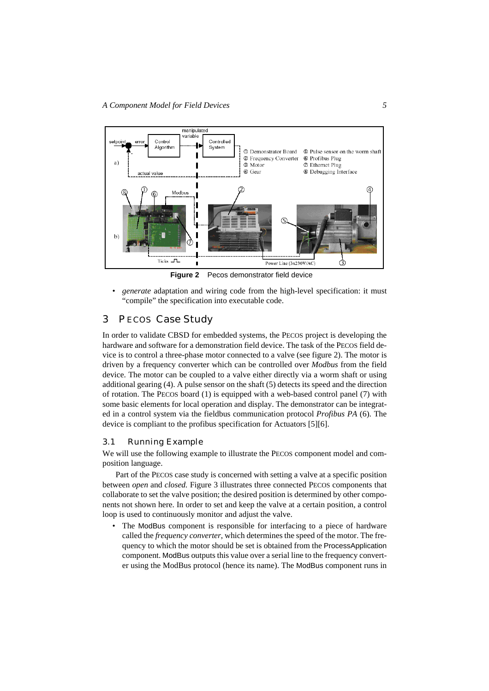

<span id="page-4-1"></span>**Figure 2** Pecos demonstrator field device

• *generate* adaptation and wiring code from the high-level specification: it must "compile" the specification into executable code.

# <span id="page-4-0"></span>3 PECOS Case Study

In order to validate CBSD for embedded systems, the PECOS project is developing the hardware and software for a demonstration field device. The task of the PECOS field device is to control a three-phase motor connected to a valve (see [figure 2](#page-4-1)). The motor is driven by a frequency converter which can be controlled over *Modbus* from the field device. The motor can be coupled to a valve either directly via a worm shaft or using additional gearing (4). A pulse sensor on the shaft (5) detects its speed and the direction of rotation. The PECOS board (1) is equipped with a web-based control panel (7) with some basic elements for local operation and display. The demonstrator can be integrated in a control system via the fieldbus communication protocol *Profibus PA* (6). The device is compliant to the profibus specification for Actuators [\[5\]](#page-15-2)[\[6\]](#page-15-3).

#### 3.1 Running Example

We will use the following example to illustrate the PECOS component model and composition language.

Part of the PECOS case study is concerned with setting a valve at a specific position between *open* and *closed.* [Figure 3](#page-5-1) illustrates three connected PECOS components that collaborate to set the valve position; the desired position is determined by other components not shown here. In order to set and keep the valve at a certain position, a control loop is used to continuously monitor and adjust the valve.

• The ModBus component is responsible for interfacing to a piece of hardware called the *frequency converter*, which determines the speed of the motor. The frequency to which the motor should be set is obtained from the ProcessApplication component. ModBus outputs this value over a serial line to the frequency converter using the ModBus protocol (hence its name). The ModBus component runs in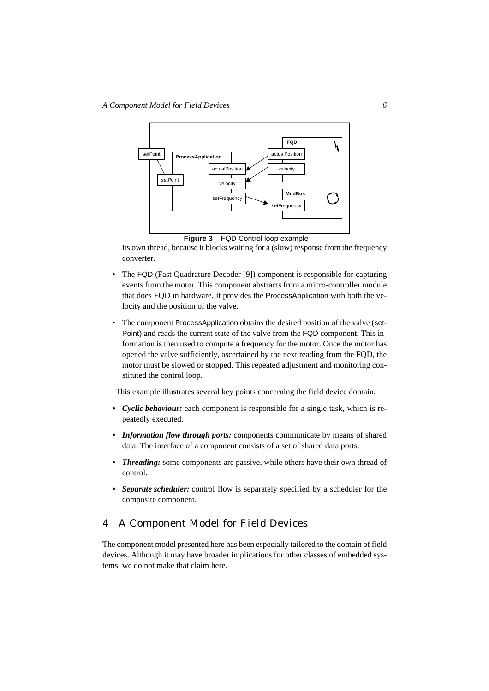

<span id="page-5-1"></span>

its own thread, because it blocks waiting for a (slow) response from the frequency converter.

- The FQD (Fast Quadrature Decoder [\[9\]](#page-15-4)) component is responsible for capturing events from the motor. This component abstracts from a micro-controller module that does FQD in hardware. It provides the ProcessApplication with both the velocity and the position of the valve.
- The component ProcessApplication obtains the desired position of the valve (set-Point) and reads the current state of the valve from the FQD component. This information is then used to compute a frequency for the motor. Once the motor has opened the valve sufficiently, ascertained by the next reading from the FQD, the motor must be slowed or stopped. This repeated adjustment and monitoring constituted the control loop.

This example illustrates several key points concerning the field device domain.

- *Cyclic behaviour:* each component is responsible for a single task, which is repeatedly executed.
- *Information flow through ports:* components communicate by means of shared data. The interface of a component consists of a set of shared data ports.
- *Threading:* some components are passive, while others have their own thread of control.
- *Separate scheduler:* control flow is separately specified by a scheduler for the composite component.

# <span id="page-5-0"></span>4 A Component Model for Field Devices

The component model presented here has been especially tailored to the domain of field devices. Although it may have broader implications for other classes of embedded systems, we do not make that claim here.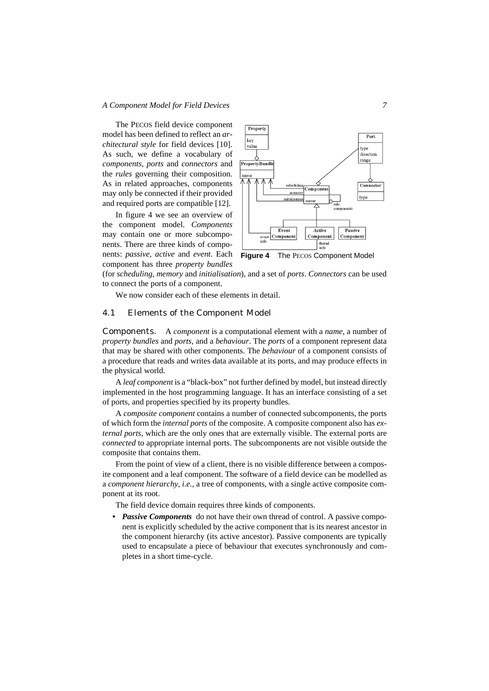The PECOS field device component model has been defined to reflect an *architectural style* for field devices [\[10\]](#page-15-6). As such, we define a vocabulary of *components*, *ports* and *connectors* and the *rules* governing their composition. As in related approaches, components may only be connected if their provided and required ports are compatible [\[12\]](#page-15-5).

In [figure 4](#page-6-0) we see an overview of the component model. *Components* may contain one or more subcomponents. There are three kinds of components: *passive*, *active* and *event*. Each component has three *property bundles*



<span id="page-6-0"></span>**Figure 4** The PECOS Component Model

(for *scheduling*, *memory* and *initialisation*), and a set of *ports*. *Connectors* can be used to connect the ports of a component.

We now consider each of these elements in detail.

## 4.1 Elements of the Component Model

Components. A *component* is a computational element with a *name*, a number of *property bundles* and *ports*, and a *behaviour*. The *ports* of a component represent data that may be shared with other components. The *behaviour* of a component consists of a procedure that reads and writes data available at its ports, and may produce effects in the physical world.

A *leaf component* is a "black-box" not further defined by model, but instead directly implemented in the host programming language. It has an interface consisting of a set of ports, and properties specified by its property bundles.

A *composite component* contains a number of connected subcomponents, the ports of which form the *internal ports* of the composite. A composite component also has *external ports,* which are the only ones that are externally visible. The external ports are *connected* to appropriate internal ports. The subcomponents are not visible outside the composite that contains them.

From the point of view of a client, there is no visible difference between a composite component and a leaf component. The software of a field device can be modelled as a *component hierarchy*, *i.e.*, a tree of components, with a single active composite component at its root.

The field device domain requires three kinds of components.

• *Passive Components* do not have their own thread of control. A passive component is explicitly scheduled by the active component that is its nearest ancestor in the component hierarchy (its active ancestor). Passive components are typically used to encapsulate a piece of behaviour that executes synchronously and completes in a short time-cycle.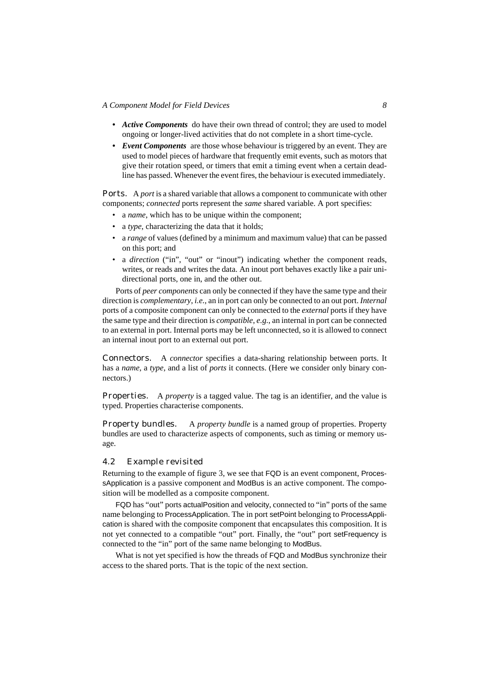- *Active Components* do have their own thread of control; they are used to model ongoing or longer-lived activities that do not complete in a short time-cycle.
- *Event Components* are those whose behaviour is triggered by an event. They are used to model pieces of hardware that frequently emit events, such as motors that give their rotation speed, or timers that emit a timing event when a certain deadline has passed. Whenever the event fires, the behaviour is executed immediately.

Ports. A *port* is a shared variable that allows a component to communicate with other components; *connected* ports represent the *same* shared variable. A port specifies:

- a *name*, which has to be unique within the component;
- a *type*, characterizing the data that it holds;
- a *range* of values (defined by a minimum and maximum value) that can be passed on this port; and
- a *direction* ("in", "out" or "inout") indicating whether the component reads, writes, or reads and writes the data. An inout port behaves exactly like a pair unidirectional ports, one in, and the other out.

Ports of *peer components* can only be connected if they have the same type and their direction is *complementary*, *i.e.*, an in port can only be connected to an out port. *Internal* ports of a composite component can only be connected to the *external* ports if they have the same type and their direction is *compatible*, *e.g.*, an internal in port can be connected to an external in port. Internal ports may be left unconnected, so it is allowed to connect an internal inout port to an external out port.

Connectors. A *connector* specifies a data-sharing relationship between ports. It has a *name*, a *type*, and a list of *ports* it connects. (Here we consider only binary connectors.)

Properties. A *property* is a tagged value. The tag is an identifier, and the value is typed. Properties characterise components.

Property bundles. A *property bundle* is a named group of properties. Property bundles are used to characterize aspects of components, such as timing or memory usage.

#### 4.2 Example revisited

Returning to the example of [figure 3](#page-5-1), we see that FQD is an event component, ProcessApplication is a passive component and ModBus is an active component. The composition will be modelled as a composite component.

FQD has "out" ports actualPosition and velocity, connected to "in" ports of the same name belonging to ProcessApplication. The in port setPoint belonging to ProcessApplication is shared with the composite component that encapsulates this composition. It is not yet connected to a compatible "out" port. Finally, the "out" port setFrequency is connected to the "in" port of the same name belonging to ModBus.

What is not yet specified is how the threads of FQD and ModBus synchronize their access to the shared ports. That is the topic of the next section.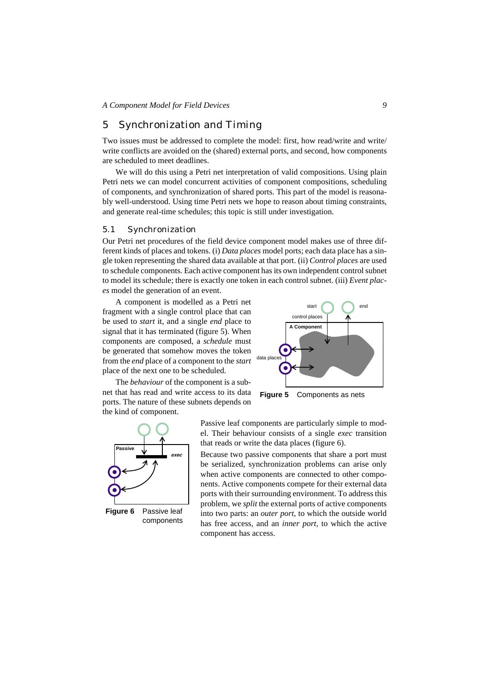# <span id="page-8-0"></span>5 Synchronization and Timing

Two issues must be addressed to complete the model: first, how read/write and write/ write conflicts are avoided on the (shared) external ports, and second, how components are scheduled to meet deadlines.

We will do this using a Petri net interpretation of valid compositions. Using plain Petri nets we can model concurrent activities of component compositions, scheduling of components, and synchronization of shared ports. This part of the model is reasonably well-understood. Using time Petri nets we hope to reason about timing constraints, and generate real-time schedules; this topic is still under investigation.

## 5.1 Synchronization

Our Petri net procedures of the field device component model makes use of three different kinds of places and tokens. (i) *Data places* model ports; each data place has a single token representing the shared data available at that port. (ii) *Control places* are used to schedule components. Each active component has its own independent control subnet to model its schedule; there is exactly one token in each control subnet. (iii) *Event places* model the generation of an event.

A component is modelled as a Petri net fragment with a single control place that can be used to *start* it, and a single *end* place to signal that it has terminated ([figure 5](#page-8-1)). When components are composed, a *schedule* must be generated that somehow moves the token from the *end* place of a component to the *start* place of the next one to be scheduled.



The *behaviour* of the component is a subnet that has read and write access to its data ports. The nature of these subnets depends on the kind of component.

<span id="page-8-1"></span>**Figure 5** Components as nets



<span id="page-8-2"></span>components

Passive leaf components are particularly simple to model. Their behaviour consists of a single *exec* transition that reads or write the data places ([figure 6](#page-8-2)).

Because two passive components that share a port must be serialized, synchronization problems can arise only when active components are connected to other components. Active components compete for their external data ports with their surrounding environment. To address this problem, we *split* the external ports of active components into two parts: an *outer port*, to which the outside world has free access, and an *inner port*, to which the active component has access.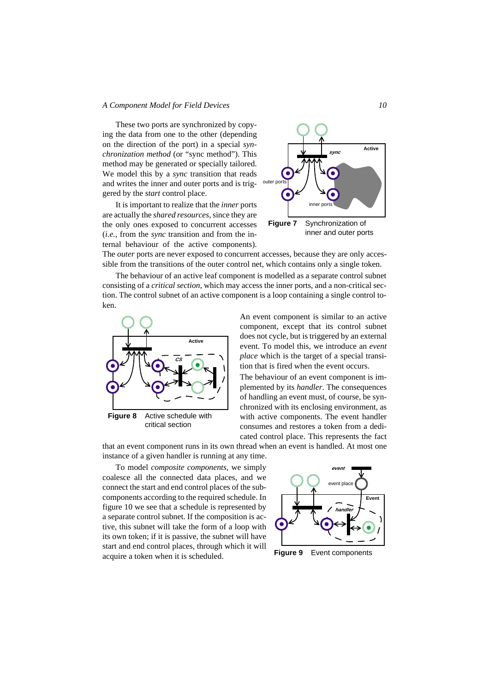These two ports are synchronized by copying the data from one to the other (depending on the direction of the port) in a special *synchronization method* (or "sync method"). This method may be generated or specially tailored. We model this by a *sync* transition that reads and writes the inner and outer ports and is triggered by the *start* control place.

It is important to realize that the *inner* ports are actually the *shared resources*, since they are the only ones exposed to concurrent accesses (*i.e.*, from the *sync* transition and from the internal behaviour of the active components).



The *outer* ports are never exposed to concurrent accesses, because they are only accessible from the transitions of the outer control net, which contains only a single token.

The behaviour of an active leaf component is modelled as a separate control subnet consisting of a *critical section*, which may access the inner ports, and a non-critical section. The control subnet of an active component is a loop containing a single control token.



An event component is similar to an active component, except that its control subnet does not cycle, but is triggered by an external event. To model this, we introduce an *event place* which is the target of a special transition that is fired when the event occurs.

The behaviour of an event component is implemented by its *handler*. The consequences of handling an event must, of course, be synchronized with its enclosing environment, as with active components. The event handler consumes and restores a token from a dedicated control place. This represents the fact

that an event component runs in its own thread when an event is handled. At most one instance of a given handler is running at any time.

To model *composite components*, we simply coalesce all the connected data places, and we connect the start and end control places of the subcomponents according to the required schedule. In [figure 10](#page-10-0) we see that a schedule is represented by a separate control subnet. If the composition is active, this subnet will take the form of a loop with its own token; if it is passive, the subnet will have start and end control places, through which it will acquire a token when it is scheduled.



**Figure 9** Event components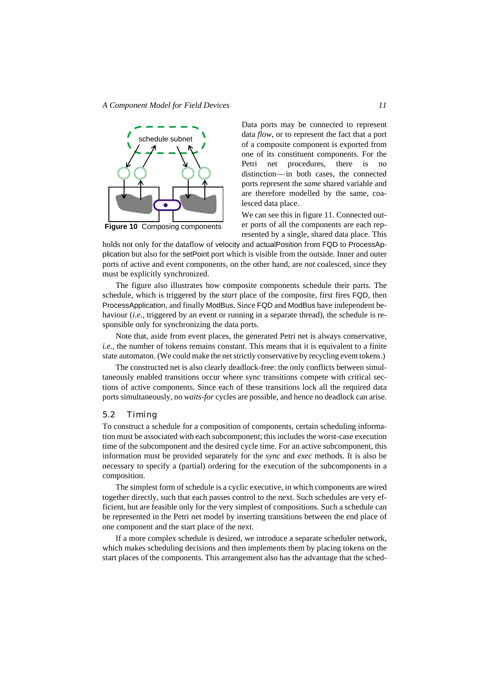

Data ports may be connected to represent data *flow*, or to represent the fact that a port of a composite component is exported from one of its constituent components. For the Petri net procedures, there is no distinction—in both cases, the connected ports represent the *same* shared variable and are therefore modelled by the same, coalesced data place.

We can see this in [figure 11.](#page-11-0) Connected outer ports of all the components are each represented by a single, shared data place. This

<span id="page-10-0"></span>holds not only for the dataflow of velocity and actualPosition from FQD to ProcessApplication but also for the setPoint port which is visible from the outside. Inner and outer ports of active and event components, on the other hand, are *not* coalesced, since they must be explicitly synchronized.

The figure also illustrates how composite components schedule their parts. The schedule, which is triggered by the *start* place of the composite, first fires FQD, then ProcessApplication, and finally ModBus. Since FQD and ModBus have independent behaviour (*i.e.*, triggered by an event or running in a separate thread), the schedule is responsible only for synchronizing the data ports.

Note that, aside from event places, the generated Petri net is always conservative, *i.e.*, the number of tokens remains constant. This means that it is equivalent to a finite state automaton. (We could make the net strictly conservative by recycling event tokens.)

The constructed net is also clearly deadlock-free: the only conflicts between simultaneously enabled transitions occur where sync transitions compete with critical sections of active components. Since each of these transitions lock all the required data ports simultaneously, no *waits-for* cycles are possible, and hence no deadlock can arise.

#### 5.2 Timing

To construct a schedule for a composition of components, certain scheduling information must be associated with each subcomponent; this includes the worst-case execution time of the subcomponent and the desired cycle time. For an active subcomponent, this information must be provided separately for the *sync* and *exec* methods. It is also be necessary to specify a (partial) ordering for the execution of the subcomponents in a composition.

The simplest form of schedule is a cyclic executive, in which components are wired together directly, such that each passes control to the next. Such schedules are very efficient, but are feasible only for the very simplest of compositions. Such a schedule can be represented in the Petri net model by inserting transitions between the end place of one component and the start place of the next.

If a more complex schedule is desired, we introduce a separate scheduler network, which makes scheduling decisions and then implements them by placing tokens on the start places of the components. This arrangement also has the advantage that the sched-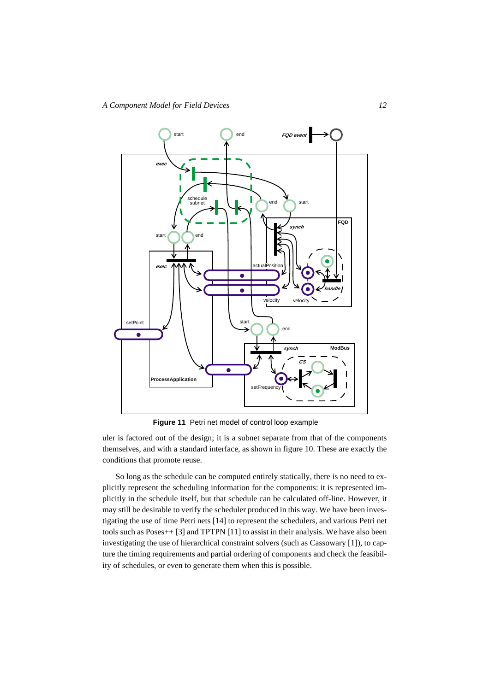

<span id="page-11-0"></span>**Figure 11** Petri net model of control loop example

uler is factored out of the design; it is a subnet separate from that of the components themselves, and with a standard interface, as shown in [figure 10.](#page-10-0) These are exactly the conditions that promote reuse.

So long as the schedule can be computed entirely statically, there is no need to explicitly represent the scheduling information for the components: it is represented implicitly in the schedule itself, but that schedule can be calculated off-line. However, it may still be desirable to verify the scheduler produced in this way. We have been investigating the use of time Petri nets [\[14\]](#page-15-8) to represent the schedulers, and various Petri net tools such as Poses++ [\[3\]](#page-14-2) and TPTPN [\[11\]](#page-15-7) to assist in their analysis. We have also been investigating the use of hierarchical constraint solvers (such as Cassowary [\[1\]](#page-14-3)), to capture the timing requirements and partial ordering of components and check the feasibility of schedules, or even to generate them when this is possible.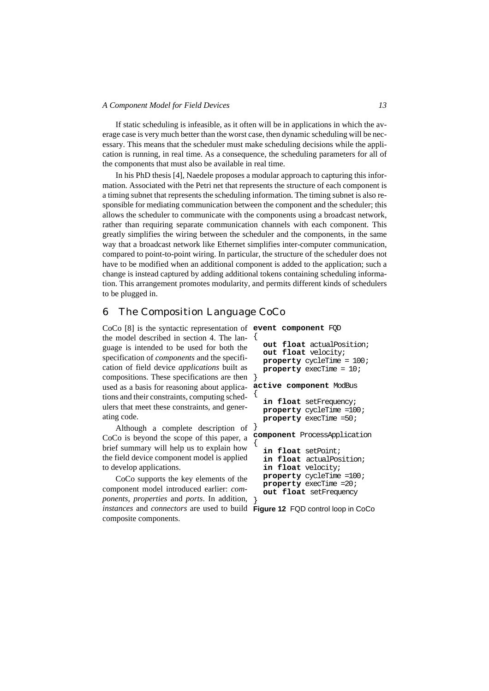If static scheduling is infeasible, as it often will be in applications in which the average case is very much better than the worst case, then dynamic scheduling will be necessary. This means that the scheduler must make scheduling decisions while the application is running, in real time. As a consequence, the scheduling parameters for all of the components that must also be available in real time.

In his PhD thesis [\[4\]](#page-15-9), Naedele proposes a modular approach to capturing this information. Associated with the Petri net that represents the structure of each component is a timing subnet that represents the scheduling information. The timing subnet is also responsible for mediating communication between the component and the scheduler; this allows the scheduler to communicate with the components using a broadcast network, rather than requiring separate communication channels with each component. This greatly simplifies the wiring between the scheduler and the components, in the same way that a broadcast network like Ethernet simplifies inter-computer communication, compared to point-to-point wiring. In particular, the structure of the scheduler does not have to be modified when an additional component is added to the application; such a change is instead captured by adding additional tokens containing scheduling information. This arrangement promotes modularity, and permits different kinds of schedulers to be plugged in.

# <span id="page-12-0"></span>6 The Composition Language CoCo

CoCo [\[8\]](#page-15-1) is the syntactic representation of **event component** FQD the model described in [section 4](#page-5-0). The language is intended to be used for both the specification of *components* and the specification of field device *applications* built as compositions. These specifications are then used as a basis for reasoning about applications and their constraints, computing schedulers that meet these constraints, and generating code.

Although a complete description of CoCo is beyond the scope of this paper, a brief summary will help us to explain how the field device component model is applied to develop applications.

CoCo supports the key elements of the component model introduced earlier: *components*, *properties* and *ports*. In addition, *instances* and *connectors* are used to build composite components.

```
\left\{ \right.out float actualPosition;
  out float velocity;
  property cycleTime = 100;
  property execTime = 10;
}
active component ModBus
{
  in float setFrequency;
  property cycleTime =100;
  property execTime =50;
}
component ProcessApplication
{
  in float setPoint;
  in float actualPosition;
  in float velocity;
  property cycleTime =100;
  property execTime =20;
  out float setFrequency
}
```
<span id="page-12-1"></span>**Figure 12** FQD control loop in CoCo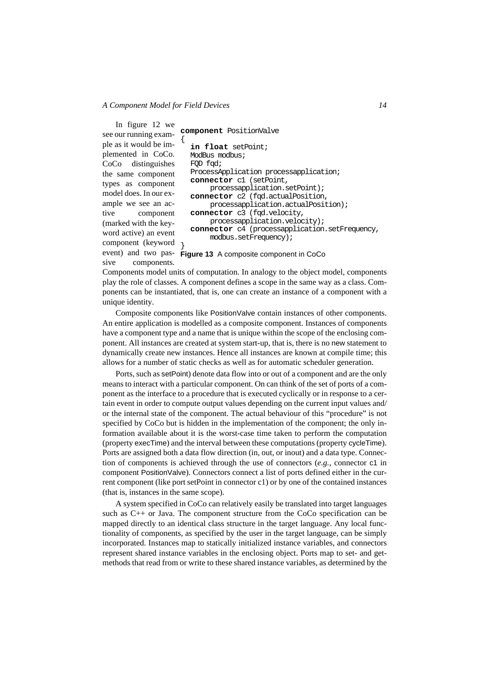In [figure 12](#page-12-1) we see our running example as it would be implemented in CoCo. CoCo distinguishes the same component types as component model does. In our example we see an active component (marked with the keyword active) an event component (keyword event) and two passive components. { }

```
component PositionValve
  in float setPoint;
  ModBus modbus;
  FOD fcd;
  ProcessApplication processapplication;
  connector c1 (setPoint,
        processapplication.setPoint);
  connector c2 (fqd.actualPosition,
       processapplication.actualPosition);
  connector c3 (fqd.velocity,
       processapplication.velocity);
  connector c4 (processapplication.setFrequency,
       modbus.setFrequency);
```
**Figure 13** A composite component in CoCo

Components model units of computation. In analogy to the object model, components play the role of classes. A component defines a scope in the same way as a class. Components can be instantiated, that is, one can create an instance of a component with a unique identity.

Composite components like PositionValve contain instances of other components. An entire application is modelled as a composite component. Instances of components have a component type and a name that is unique within the scope of the enclosing component. All instances are created at system start-up, that is, there is no new statement to dynamically create new instances. Hence all instances are known at compile time; this allows for a number of static checks as well as for automatic scheduler generation.

Ports, such as setPoint) denote data flow into or out of a component and are the only means to interact with a particular component. On can think of the set of ports of a component as the interface to a procedure that is executed cyclically or in response to a certain event in order to compute output values depending on the current input values and/ or the internal state of the component. The actual behaviour of this "procedure" is not specified by CoCo but is hidden in the implementation of the component; the only information available about it is the worst-case time taken to perform the computation (property execTime) and the interval between these computations (property cycleTime). Ports are assigned both a data flow direction (in, out, or inout) and a data type. Connection of components is achieved through the use of connectors (*e.g.*, connector c1 in component PositionValve). Connectors connect a list of ports defined either in the current component (like port setPoint in connector c1) or by one of the contained instances (that is, instances in the same scope).

A system specified in CoCo can relatively easily be translated into target languages such as C++ or Java. The component structure from the CoCo specification can be mapped directly to an identical class structure in the target language. Any local functionality of components, as specified by the user in the target language, can be simply incorporated. Instances map to statically initialized instance variables, and connectors represent shared instance variables in the enclosing object. Ports map to set- and getmethods that read from or write to these shared instance variables, as determined by the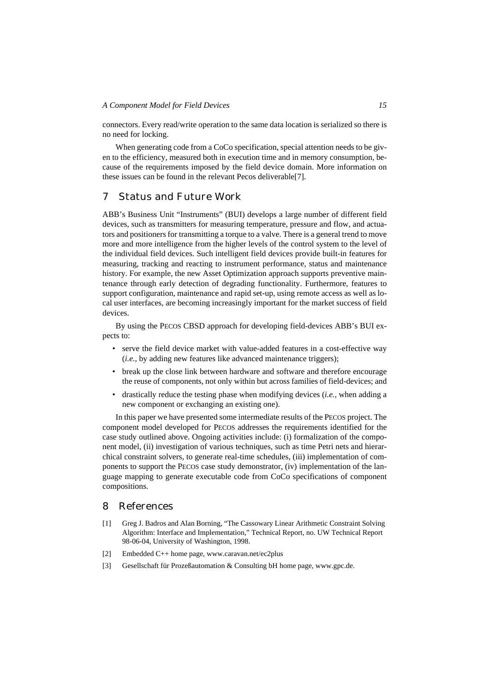connectors. Every read/write operation to the same data location is serialized so there is no need for locking.

When generating code from a CoCo specification, special attention needs to be given to the efficiency, measured both in execution time and in memory consumption, because of the requirements imposed by the field device domain. More information on these issues can be found in the relevant Pecos deliverabl[e\[7\]](#page-15-10).

# <span id="page-14-0"></span>7 Status and Future Work

ABB's Business Unit "Instruments" (BUI) develops a large number of different field devices, such as transmitters for measuring temperature, pressure and flow, and actuators and positioners for transmitting a torque to a valve. There is a general trend to move more and more intelligence from the higher levels of the control system to the level of the individual field devices. Such intelligent field devices provide built-in features for measuring, tracking and reacting to instrument performance, status and maintenance history. For example, the new Asset Optimization approach supports preventive maintenance through early detection of degrading functionality. Furthermore, features to support configuration, maintenance and rapid set-up, using remote access as well as local user interfaces, are becoming increasingly important for the market success of field devices.

By using the PECOS CBSD approach for developing field-devices ABB's BUI expects to:

- serve the field device market with value-added features in a cost-effective way (*i.e.*, by adding new features like advanced maintenance triggers);
- break up the close link between hardware and software and therefore encourage the reuse of components, not only within but across families of field-devices; and
- drastically reduce the testing phase when modifying devices (*i.e.*, when adding a new component or exchanging an existing one).

In this paper we have presented some intermediate results of the PECOS project. The component model developed for PECOS addresses the requirements identified for the case study outlined above. Ongoing activities include: (i) formalization of the component model, (ii) investigation of various techniques, such as time Petri nets and hierarchical constraint solvers, to generate real-time schedules, (iii) implementation of components to support the PECOS case study demonstrator, (iv) implementation of the language mapping to generate executable code from CoCo specifications of component compositions.

### 8 References

- <span id="page-14-3"></span>[1] Greg J. Badros and Alan Borning, "The Cassowary Linear Arithmetic Constraint Solving Algorithm: Interface and Implementation," Technical Report, no. UW Technical Report 98-06-04, University of Washington, 1998.
- <span id="page-14-1"></span>[2] Embedded C++ home page, [www.caravan.net/ec2plus](http://www.caravan.net/ec2plus)
- <span id="page-14-2"></span>[3] Gesellschaft für Prozeßautomation & Consulting bH home page, [www.gpc.de](http://www.gpc.de/).